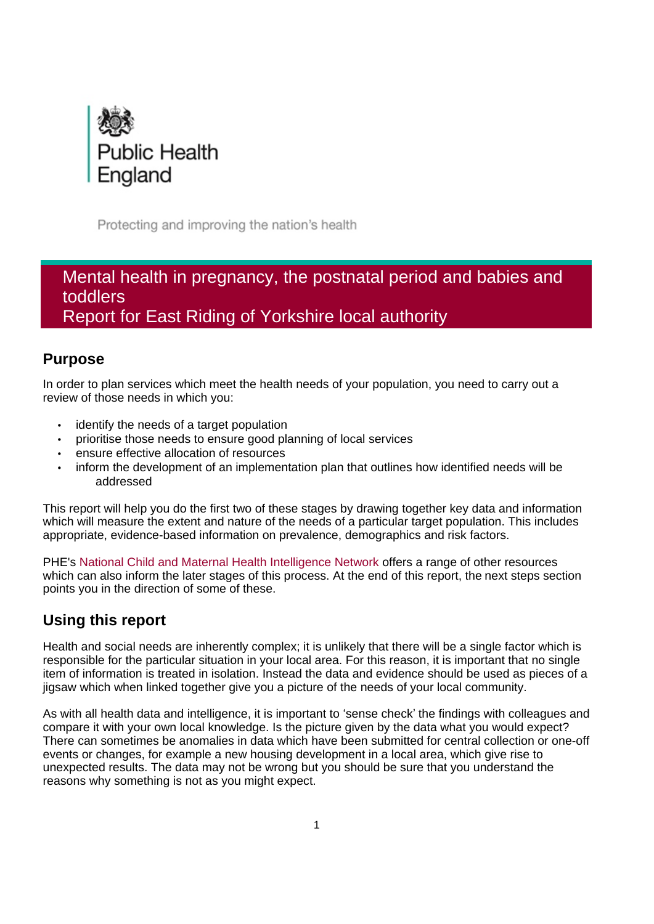

Protecting and improving the nation's health

# Mental health in pregnancy, the postnatal period and babies and toddlers Report for East Riding of Yorkshire local authority

# **Purpose**

In order to plan services which meet the health needs of your population, you need to carry out a review of those needs in which you:

- identify the needs of a target population
- prioritise those needs to ensure good planning of local services
- ensure effective allocation of resources
- inform the development of an implementation plan that outlines how identified needs will be addressed

This report will help you do the first two of these stages by drawing together key data and information which will measure the extent and nature of the needs of a particular target population. This includes appropriate, evidence-based information on prevalence, demographics and risk factors.

PHE's [National Child and Maternal Health Intelligence Network](https://www.gov.uk/guidance/child-and-maternal-health-data-and-intelligence-a-guide-for-health-professionals) offers a range of other resources which can also inform the later stages of this process. At the end of this report, the next steps section points you in the direction of some of these.

# **Using this report**

Health and social needs are inherently complex; it is unlikely that there will be a single factor which is responsible for the particular situation in your local area. For this reason, it is important that no single item of information is treated in isolation. Instead the data and evidence should be used as pieces of a jigsaw which when linked together give you a picture of the needs of your local community.

As with all health data and intelligence, it is important to 'sense check' the findings with colleagues and compare it with your own local knowledge. Is the picture given by the data what you would expect? There can sometimes be anomalies in data which have been submitted for central collection or one-off events or changes, for example a new housing development in a local area, which give rise to unexpected results. The data may not be wrong but you should be sure that you understand the reasons why something is not as you might expect.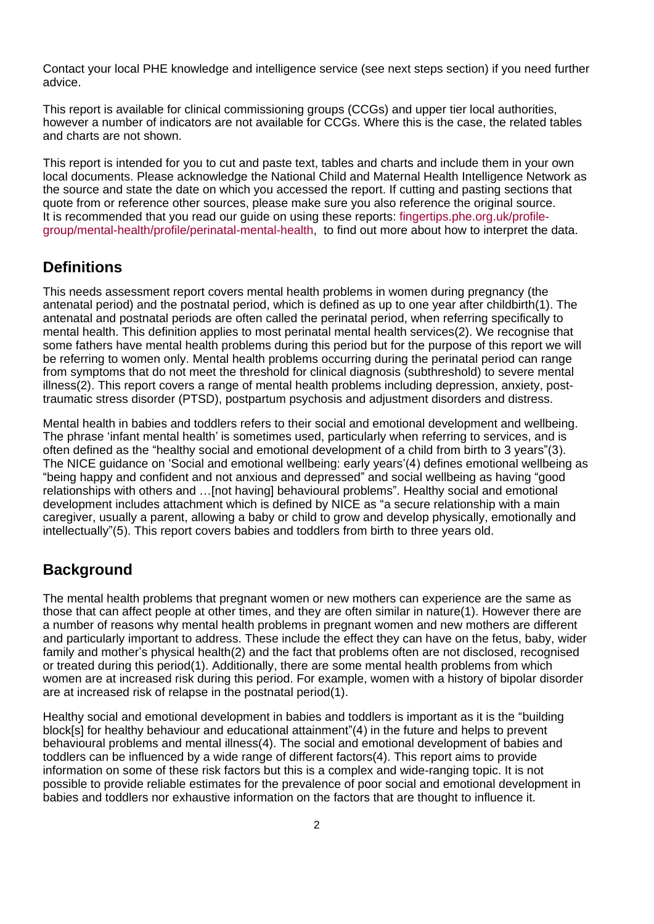Contact your local PHE knowledge and intelligence service (see next steps section) if you need further advice.

This report is available for clinical commissioning groups (CCGs) and upper tier local authorities, however a number of indicators are not available for CCGs. Where this is the case, the related tables and charts are not shown.

This report is intended for you to cut and paste text, tables and charts and include them in your own local documents. Please acknowledge the National Child and Maternal Health Intelligence Network as the source and state the date on which you accessed the report. If cutting and pasting sections that quote from or reference other sources, please make sure you also reference the original source. It is recommended that you read our guide on using these reports: [fingertips.phe.org.uk/profile](https://fingertips.phe.org.uk/profile-group/mental-health/profile/perinatal-mental-health)[group/mental-health/profile/perinatal-mental-health,](https://fingertips.phe.org.uk/profile-group/mental-health/profile/perinatal-mental-health) to find out more about how to interpret the data.

# **Definitions**

This needs assessment report covers mental health problems in women during pregnancy (the antenatal period) and the postnatal period, which is defined as up to one year after childbirth(1). The antenatal and postnatal periods are often called the perinatal period, when referring specifically to mental health. This definition applies to most perinatal mental health services(2). We recognise that some fathers have mental health problems during this period but for the purpose of this report we will be referring to women only. Mental health problems occurring during the perinatal period can range from symptoms that do not meet the threshold for clinical diagnosis (subthreshold) to severe mental illness(2). This report covers a range of mental health problems including depression, anxiety, posttraumatic stress disorder (PTSD), postpartum psychosis and adjustment disorders and distress.

Mental health in babies and toddlers refers to their social and emotional development and wellbeing. The phrase 'infant mental health' is sometimes used, particularly when referring to services, and is often defined as the "healthy social and emotional development of a child from birth to 3 years"(3). The NICE guidance on 'Social and emotional wellbeing: early years'(4) defines emotional wellbeing as "being happy and confident and not anxious and depressed" and social wellbeing as having "good relationships with others and …[not having] behavioural problems". Healthy social and emotional development includes attachment which is defined by NICE as "a secure relationship with a main caregiver, usually a parent, allowing a baby or child to grow and develop physically, emotionally and intellectually"(5). This report covers babies and toddlers from birth to three years old.

# **Background**

The mental health problems that pregnant women or new mothers can experience are the same as those that can affect people at other times, and they are often similar in nature(1). However there are a number of reasons why mental health problems in pregnant women and new mothers are different and particularly important to address. These include the effect they can have on the fetus, baby, wider family and mother's physical health(2) and the fact that problems often are not disclosed, recognised or treated during this period(1). Additionally, there are some mental health problems from which women are at increased risk during this period. For example, women with a history of bipolar disorder are at increased risk of relapse in the postnatal period(1).

Healthy social and emotional development in babies and toddlers is important as it is the "building block[s] for healthy behaviour and educational attainment"(4) in the future and helps to prevent behavioural problems and mental illness(4). The social and emotional development of babies and toddlers can be influenced by a wide range of different factors(4). This report aims to provide information on some of these risk factors but this is a complex and wide-ranging topic. It is not possible to provide reliable estimates for the prevalence of poor social and emotional development in babies and toddlers nor exhaustive information on the factors that are thought to influence it.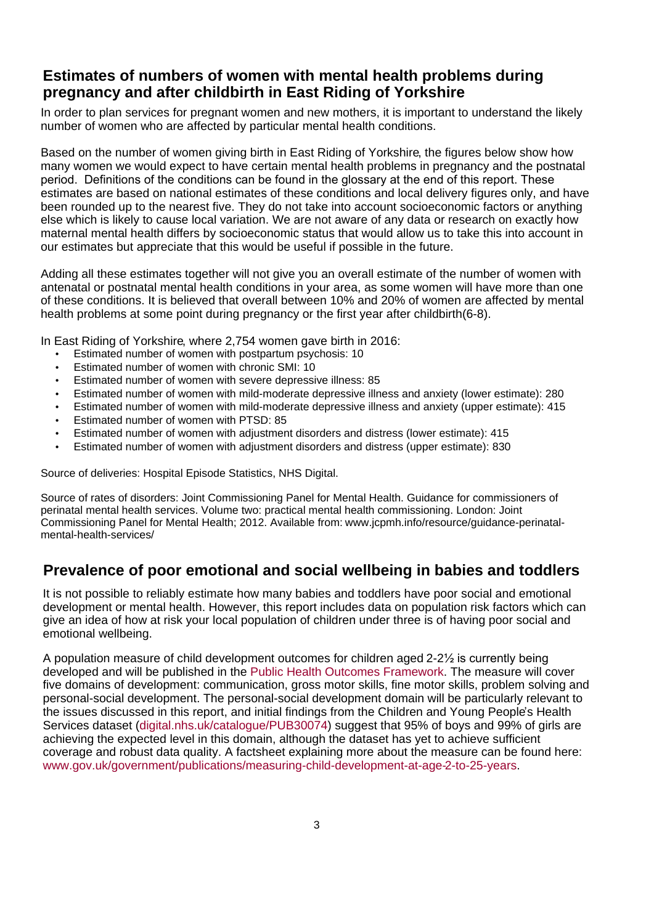# **Estimates of numbers of women with mental health problems during pregnancy and after childbirth in East Riding of Yorkshire**

In order to plan services for pregnant women and new mothers, it is important to understand the likely number of women who are affected by particular mental health conditions.

Based on the number of women giving birth in East Riding of Yorkshire, the figures below show how many women we would expect to have certain mental health problems in pregnancy and the postnatal period. Definitions of the conditions can be found in the glossary at the end of this report. These estimates are based on national estimates of these conditions and local delivery figures only, and have been rounded up to the nearest five. They do not take into account socioeconomic factors or anything else which is likely to cause local variation. We are not aware of any data or research on exactly how maternal mental health differs by socioeconomic status that would allow us to take this into account in our estimates but appreciate that this would be useful if possible in the future.

Adding all these estimates together will not give you an overall estimate of the number of women with antenatal or postnatal mental health conditions in your area, as some women will have more than one of these conditions. It is believed that overall between 10% and 20% of women are affected by mental health problems at some point during pregnancy or the first year after childbirth(6-8).

In East Riding of Yorkshire, where 2,754 women gave birth in 2016:

- Estimated number of women with postpartum psychosis: 10
- Estimated number of women with chronic SMI: 10
- Estimated number of women with severe depressive illness: 85
- Estimated number of women with mild-moderate depressive illness and anxiety (lower estimate): 280
- Estimated number of women with mild-moderate depressive illness and anxiety (upper estimate): 415
- Estimated number of women with PTSD: 85
- Estimated number of women with adjustment disorders and distress (lower estimate): 415
- Estimated number of women with adjustment disorders and distress (upper estimate): 830

Source of deliveries: Hospital Episode Statistics, NHS Digital.

Source of rates of disorders: Joint Commissioning Panel for Mental Health. Guidance for commissioners of perinatal mental health services. Volume two: practical mental health commissioning. London: Joint Commissioning Panel for Mental Health; 2012. Available from: [www.jcpmh.info/resource/guidance-perinatal](http://www.jcpmh.info/resource/guidance-perinatal-mental-health-services/)[mental-health-services/](http://www.jcpmh.info/resource/guidance-perinatal-mental-health-services/)

# **Prevalence of poor emotional and social wellbeing in babies and toddlers**

It is not possible to reliably estimate how many babies and toddlers have poor social and emotional development or mental health. However, this report includes data on population risk factors which can give an idea of how at risk your local population of children under three is of having poor social and emotional wellbeing.

A population measure of child development outcomes for children aged 2-2½ is currently being developed and will be published in the [Public Health Outcomes Framework](http://www.phoutcomes.info/). The measure will cover five domains of development: communication, gross motor skills, fine motor skills, problem solving and personal-social development. The personal-social development domain will be particularly relevant to the issues discussed in this report, and initial findings from the Children and Young People's Health Services datase[t](http://digital.nhs.uk/catalogue/PUB30074) [\(digital.nhs.uk/catalogue/PUB30074\)](http://digital.nhs.uk/catalogue/PUB30074) suggest that 95% of boys and 99% of girls are achieving the expected level in this domain, although the dataset has yet to achieve sufficient coverage and robust data quality. A factsheet explaining more about the measure can be found here: [www.gov.uk/government/publications/measuring-child-development-at-age-2-to-25-years.](https://www.gov.uk/government/publications/measuring-child-development-at-age-2-to-25-years)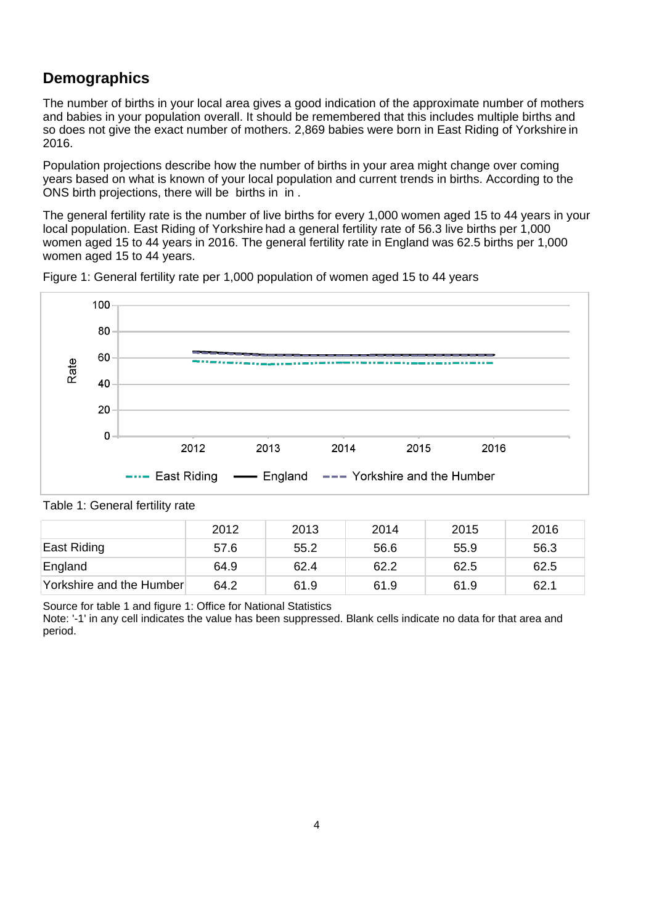# **Demographics**

The number of births in your local area gives a good indication of the approximate number of mothers and babies in your population overall. It should be remembered that this includes multiple births and so does not give the exact number of mothers. 2,869 babies were born in East Riding of Yorkshire in 2016.

Population projections describe how the number of births in your area might change over coming years based on what is known of your local population and current trends in births. According to the ONS birth projections, there will be births in in .

The general fertility rate is the number of live births for every 1,000 women aged 15 to 44 years in your local population. East Riding of Yorkshire had a general fertility rate of 56.3 live births per 1,000 women aged 15 to 44 years in 2016. The general fertility rate in England was 62.5 births per 1,000 women aged 15 to 44 years.



Figure 1: General fertility rate per 1,000 population of women aged 15 to 44 years

|                          | 2012 | 2013 | 2014 | 2015 | 2016 |
|--------------------------|------|------|------|------|------|
| East Riding              | 57.6 | 55.2 | 56.6 | 55.9 | 56.3 |
| England                  | 64.9 | 62.4 | 62.2 | 62.5 | 62.5 |
| Yorkshire and the Humber | 64.2 | 61.9 | 61.9 | 61.9 | 62.1 |

Table 1: General fertility rate

Source for table 1 and figure 1: Office for National Statistics

Note: '-1' in any cell indicates the value has been suppressed. Blank cells indicate no data for that area and period.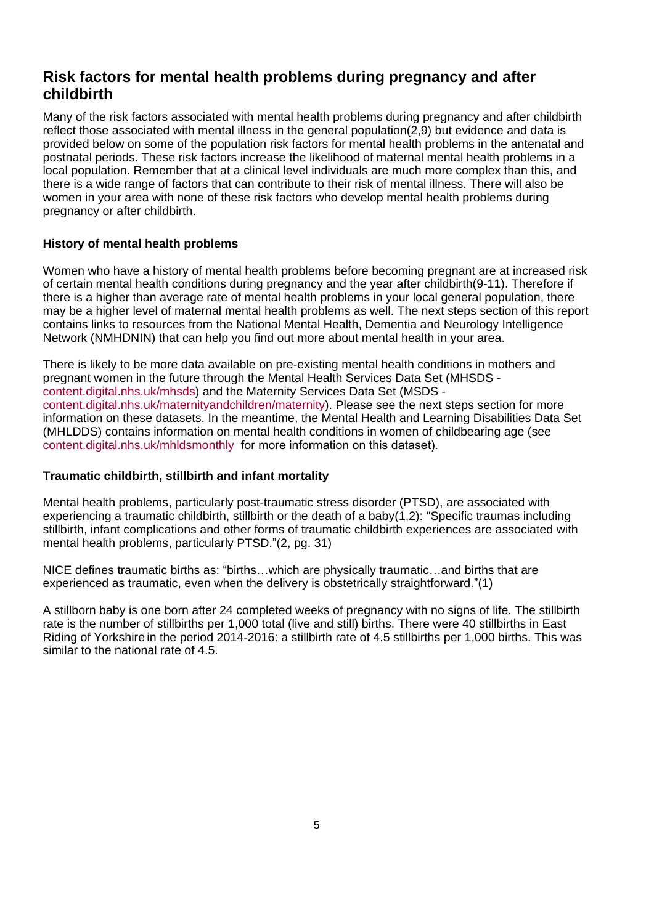# **Risk factors for mental health problems during pregnancy and after childbirth**

Many of the risk factors associated with mental health problems during pregnancy and after childbirth reflect those associated with mental illness in the general population(2,9) but evidence and data is provided below on some of the population risk factors for mental health problems in the antenatal and postnatal periods. These risk factors increase the likelihood of maternal mental health problems in a local population. Remember that at a clinical level individuals are much more complex than this, and there is a wide range of factors that can contribute to their risk of mental illness. There will also be women in your area with none of these risk factors who develop mental health problems during pregnancy or after childbirth.

## **History of mental health problems**

Women who have a history of mental health problems before becoming pregnant are at increased risk of certain mental health conditions during pregnancy and the year after childbirth(9-11). Therefore if there is a higher than average rate of mental health problems in your local general population, there may be a higher level of maternal mental health problems as well. The next steps section of this report contains links to resources from the National Mental Health, Dementia and Neurology Intelligence Network (NMHDNIN) that can help you find out more about mental health in your area.

There is likely to be more data available on pre-existing mental health conditions in mothers and pregnant women in the future through the Mental Health Services Data Set (MHSDS [content.digital.nhs.uk/mhsds\)](http://content.digital.nhs.uk/mhsds) and the Maternity Services Data Set (MSDS [content.digital.nhs.uk/maternityandchildren/maternity\)](http://content.digital.nhs.uk/maternityandchildren/maternity). Please see the next steps section for more information on these datasets. In the meantime, the Mental Health and Learning Disabilities Data Set (MHLDDS) contains information on mental health conditions in women of childbearing age (see [content.digital.nhs.uk/mhldsmonthly](http://content.digital.nhs.uk/mhldsmonthly) for more information on this dataset).

## **Traumatic childbirth, stillbirth and infant mortality**

Mental health problems, particularly post-traumatic stress disorder (PTSD), are associated with experiencing a traumatic childbirth, stillbirth or the death of a baby(1,2): "Specific traumas including stillbirth, infant complications and other forms of traumatic childbirth experiences are associated with mental health problems, particularly PTSD."(2, pg. 31)

NICE defines traumatic births as: "births…which are physically traumatic…and births that are experienced as traumatic, even when the delivery is obstetrically straightforward."(1)

A stillborn baby is one born after 24 completed weeks of pregnancy with no signs of life. The stillbirth rate is the number of stillbirths per 1,000 total (live and still) births. There were 40 stillbirths in East Riding of Yorkshire in the period 2014-2016: a stillbirth rate of 4.5 stillbirths per 1,000 births. This was similar to the national rate of 4.5.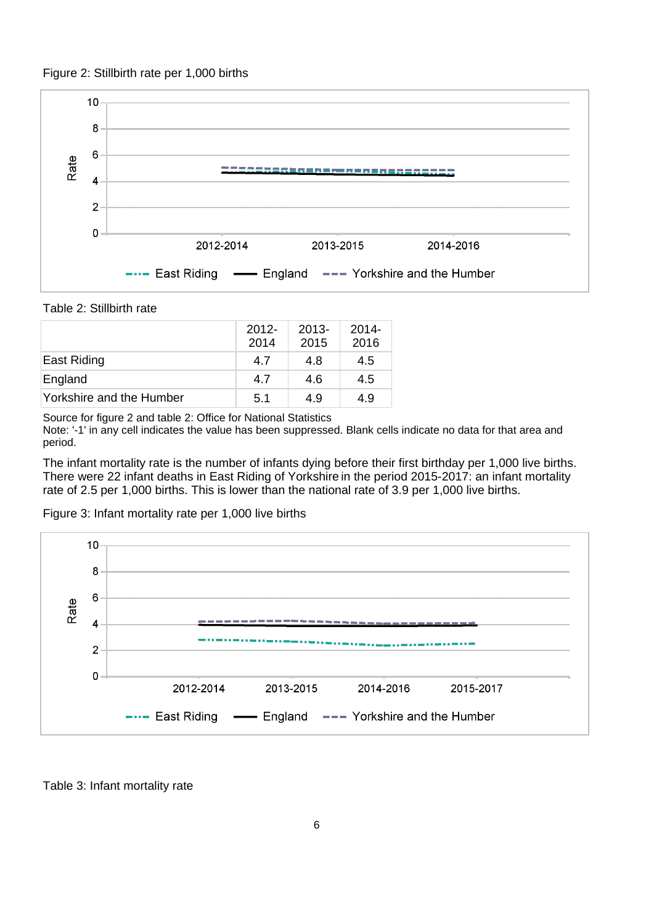



Table 2: Stillbirth rate

|                          | $2012 -$<br>2014 | $2013 -$<br>2015 | $2014 -$<br>2016 |
|--------------------------|------------------|------------------|------------------|
| East Riding              | 4.7              | 4.8              | 4.5              |
| England                  | 4.7              | 4.6              | 4.5              |
| Yorkshire and the Humber | 5.1              | 4.9              | 4.9              |

Source for figure 2 and table 2: Office for National Statistics

Note: '-1' in any cell indicates the value has been suppressed. Blank cells indicate no data for that area and period.

The infant mortality rate is the number of infants dying before their first birthday per 1,000 live births. There were 22 infant deaths in East Riding of Yorkshire in the period 2015-2017: an infant mortality rate of 2.5 per 1,000 births. This is lower than the national rate of 3.9 per 1,000 live births.

![](_page_5_Figure_7.jpeg)

Figure 3: Infant mortality rate per 1,000 live births

Table 3: Infant mortality rate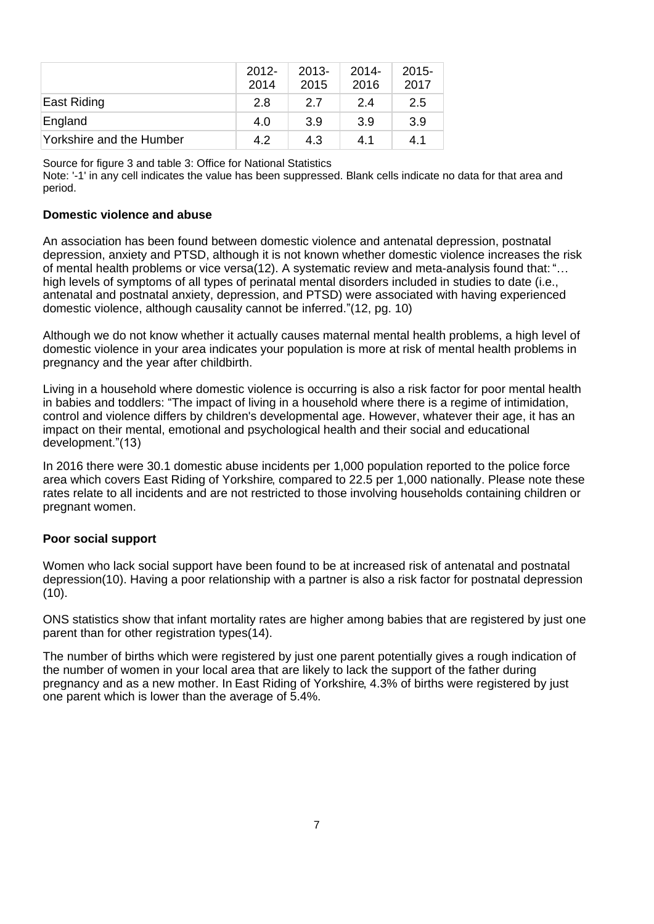|                          | $2012 -$<br>2014 | $2013 -$<br>2015 | 2014-<br>2016 | $2015 -$<br>2017 |
|--------------------------|------------------|------------------|---------------|------------------|
| East Riding              | 2.8              | 2.7              | 2.4           | 2.5              |
| England                  | 4.0              | 3.9              | 3.9           | 3.9              |
| Yorkshire and the Humber | 4.2              | 4.3              | 4.1           | 4.1              |

Source for figure 3 and table 3: Office for National Statistics

Note: '-1' in any cell indicates the value has been suppressed. Blank cells indicate no data for that area and period.

#### **Domestic violence and abuse**

An association has been found between domestic violence and antenatal depression, postnatal depression, anxiety and PTSD, although it is not known whether domestic violence increases the risk of mental health problems or vice versa(12). A systematic review and meta-analysis found that: "… high levels of symptoms of all types of perinatal mental disorders included in studies to date (i.e., antenatal and postnatal anxiety, depression, and PTSD) were associated with having experienced domestic violence, although causality cannot be inferred."(12, pg. 10)

Although we do not know whether it actually causes maternal mental health problems, a high level of domestic violence in your area indicates your population is more at risk of mental health problems in pregnancy and the year after childbirth.

Living in a household where domestic violence is occurring is also a risk factor for poor mental health in babies and toddlers: "The impact of living in a household where there is a regime of intimidation, control and violence differs by children's developmental age. However, whatever their age, it has an impact on their mental, emotional and psychological health and their social and educational development."(13)

In 2016 there were 30.1 domestic abuse incidents per 1,000 population reported to the police force area which covers East Riding of Yorkshire, compared to 22.5 per 1,000 nationally. Please note these rates relate to all incidents and are not restricted to those involving households containing children or pregnant women.

## **Poor social support**

Women who lack social support have been found to be at increased risk of antenatal and postnatal depression(10). Having a poor relationship with a partner is also a risk factor for postnatal depression (10).

ONS statistics show that infant mortality rates are higher among babies that are registered by just one parent than for other registration types(14).

The number of births which were registered by just one parent potentially gives a rough indication of the number of women in your local area that are likely to lack the support of the father during pregnancy and as a new mother. In East Riding of Yorkshire, 4.3% of births were registered by just one parent which is lower than the average of 5.4%.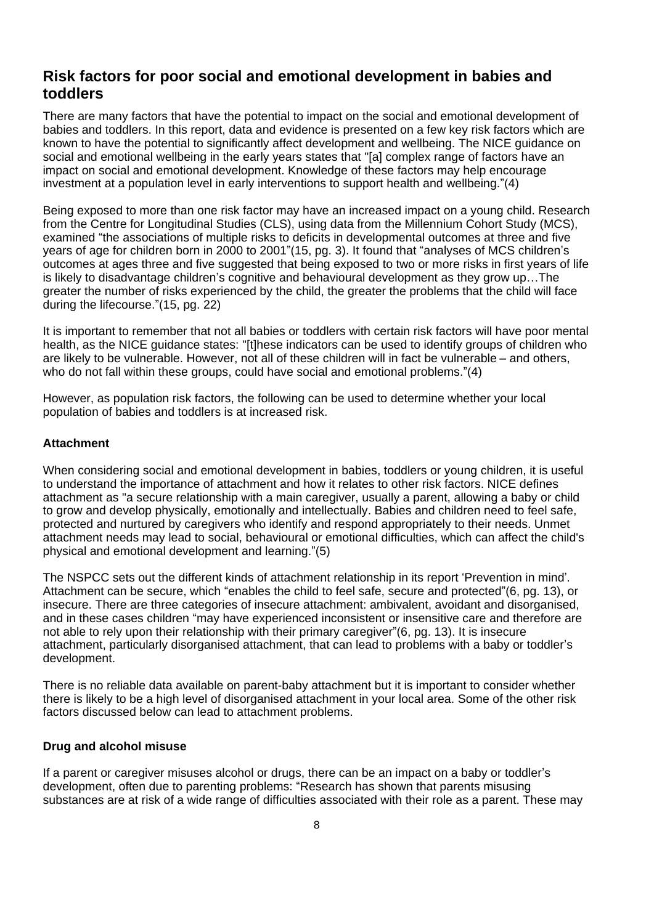## **Risk factors for poor social and emotional development in babies and toddlers**

There are many factors that have the potential to impact on the social and emotional development of babies and toddlers. In this report, data and evidence is presented on a few key risk factors which are known to have the potential to significantly affect development and wellbeing. The NICE guidance on social and emotional wellbeing in the early years states that "[a] complex range of factors have an impact on social and emotional development. Knowledge of these factors may help encourage investment at a population level in early interventions to support health and wellbeing."(4)

Being exposed to more than one risk factor may have an increased impact on a young child. Research from the Centre for Longitudinal Studies (CLS), using data from the Millennium Cohort Study (MCS), examined "the associations of multiple risks to deficits in developmental outcomes at three and five years of age for children born in 2000 to 2001"(15, pg. 3). It found that "analyses of MCS children's outcomes at ages three and five suggested that being exposed to two or more risks in first years of life is likely to disadvantage children's cognitive and behavioural development as they grow up…The greater the number of risks experienced by the child, the greater the problems that the child will face during the lifecourse."(15, pg. 22)

It is important to remember that not all babies or toddlers with certain risk factors will have poor mental health, as the NICE guidance states: "[t]hese indicators can be used to identify groups of children who are likely to be vulnerable. However, not all of these children will in fact be vulnerable – and others, who do not fall within these groups, could have social and emotional problems."(4)

However, as population risk factors, the following can be used to determine whether your local population of babies and toddlers is at increased risk.

#### **Attachment**

When considering social and emotional development in babies, toddlers or young children, it is useful to understand the importance of attachment and how it relates to other risk factors. NICE defines attachment as "a secure relationship with a main caregiver, usually a parent, allowing a baby or child to grow and develop physically, emotionally and intellectually. Babies and children need to feel safe, protected and nurtured by caregivers who identify and respond appropriately to their needs. Unmet attachment needs may lead to social, behavioural or emotional difficulties, which can affect the child's physical and emotional development and learning."(5)

The NSPCC sets out the different kinds of attachment relationship in its report 'Prevention in mind'. Attachment can be secure, which "enables the child to feel safe, secure and protected"(6, pg. 13), or insecure. There are three categories of insecure attachment: ambivalent, avoidant and disorganised, and in these cases children "may have experienced inconsistent or insensitive care and therefore are not able to rely upon their relationship with their primary caregiver"(6, pg. 13). It is insecure attachment, particularly disorganised attachment, that can lead to problems with a baby or toddler's development.

There is no reliable data available on parent-baby attachment but it is important to consider whether there is likely to be a high level of disorganised attachment in your local area. Some of the other risk factors discussed below can lead to attachment problems.

#### **Drug and alcohol misuse**

If a parent or caregiver misuses alcohol or drugs, there can be an impact on a baby or toddler's development, often due to parenting problems: "Research has shown that parents misusing substances are at risk of a wide range of difficulties associated with their role as a parent. These may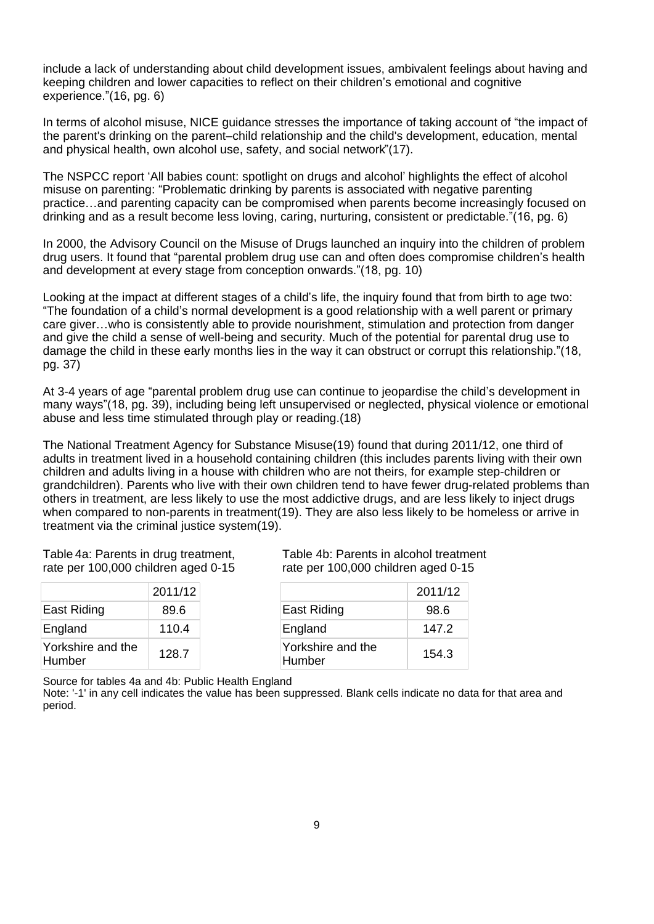include a lack of understanding about child development issues, ambivalent feelings about having and keeping children and lower capacities to reflect on their children's emotional and cognitive experience."(16, pg. 6)

In terms of alcohol misuse, NICE guidance stresses the importance of taking account of "the impact of the parent's drinking on the parent–child relationship and the child's development, education, mental and physical health, own alcohol use, safety, and social network"(17).

The NSPCC report 'All babies count: spotlight on drugs and alcohol' highlights the effect of alcohol misuse on parenting: "Problematic drinking by parents is associated with negative parenting practice…and parenting capacity can be compromised when parents become increasingly focused on drinking and as a result become less loving, caring, nurturing, consistent or predictable."(16, pg. 6)

In 2000, the Advisory Council on the Misuse of Drugs launched an inquiry into the children of problem drug users. It found that "parental problem drug use can and often does compromise children's health and development at every stage from conception onwards."(18, pg. 10)

Looking at the impact at different stages of a child's life, the inquiry found that from birth to age two: "The foundation of a child's normal development is a good relationship with a well parent or primary care giver…who is consistently able to provide nourishment, stimulation and protection from danger and give the child a sense of well-being and security. Much of the potential for parental drug use to damage the child in these early months lies in the way it can obstruct or corrupt this relationship."(18, pg. 37)

At 3-4 years of age "parental problem drug use can continue to jeopardise the child's development in many ways"(18, pg. 39), including being left unsupervised or neglected, physical violence or emotional abuse and less time stimulated through play or reading.(18)

The National Treatment Agency for Substance Misuse(19) found that during 2011/12, one third of adults in treatment lived in a household containing children (this includes parents living with their own children and adults living in a house with children who are not theirs, for example step-children or grandchildren). Parents who live with their own children tend to have fewer drug-related problems than others in treatment, are less likely to use the most addictive drugs, and are less likely to inject drugs when compared to non-parents in treatment(19). They are also less likely to be homeless or arrive in treatment via the criminal justice system(19).

Table 4a: Parents in drug treatment, rate per 100,000 children aged 0-15

|                             | 2011/12 |
|-----------------------------|---------|
| East Riding                 | 89.6    |
| England                     | 110.4   |
| Yorkshire and the<br>Humber | 128.7   |

Table 4b: Parents in alcohol treatment rate per 100,000 children aged 0-15

|                             | 2011/12 |
|-----------------------------|---------|
| <b>East Riding</b>          | 98.6    |
| England                     | 147.2   |
| Yorkshire and the<br>Humber | 154.3   |

Source for tables 4a and 4b: Public Health England

Note: '-1' in any cell indicates the value has been suppressed. Blank cells indicate no data for that area and period.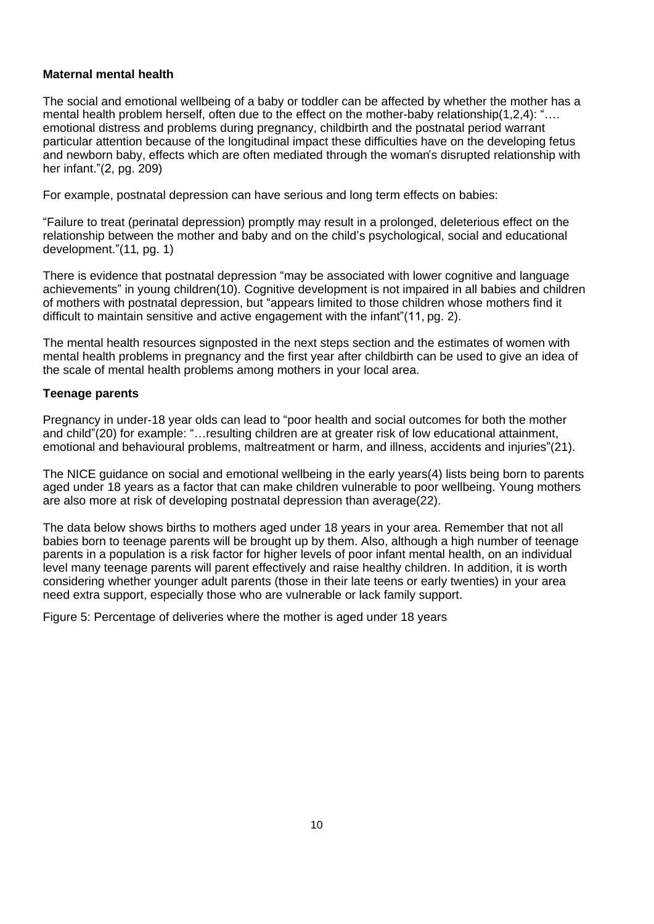### **Maternal mental health**

The social and emotional wellbeing of a baby or toddler can be affected by whether the mother has a mental health problem herself, often due to the effect on the mother-baby relationship(1,2,4): "... emotional distress and problems during pregnancy, childbirth and the postnatal period warrant particular attention because of the longitudinal impact these difficulties have on the developing fetus and newborn baby, effects which are often mediated through the woman's disrupted relationship with her infant."(2, pg. 209)

For example, postnatal depression can have serious and long term effects on babies:

"Failure to treat (perinatal depression) promptly may result in a prolonged, deleterious effect on the relationship between the mother and baby and on the child's psychological, social and educational development."(11, pg. 1)

There is evidence that postnatal depression "may be associated with lower cognitive and language achievements" in young children(10). Cognitive development is not impaired in all babies and children of mothers with postnatal depression, but "appears limited to those children whose mothers find it difficult to maintain sensitive and active engagement with the infant"(11, pg. 2).

The mental health resources signposted in the next steps section and the estimates of women with mental health problems in pregnancy and the first year after childbirth can be used to give an idea of the scale of mental health problems among mothers in your local area.

#### **Teenage parents**

Pregnancy in under-18 year olds can lead to "poor health and social outcomes for both the mother and child"(20) for example: "…resulting children are at greater risk of low educational attainment, emotional and behavioural problems, maltreatment or harm, and illness, accidents and injuries"(21).

The NICE guidance on social and emotional wellbeing in the early years(4) lists being born to parents aged under 18 years as a factor that can make children vulnerable to poor wellbeing. Young mothers are also more at risk of developing postnatal depression than average(22).

The data below shows births to mothers aged under 18 years in your area. Remember that not all babies born to teenage parents will be brought up by them. Also, although a high number of teenage parents in a population is a risk factor for higher levels of poor infant mental health, on an individual level many teenage parents will parent effectively and raise healthy children. In addition, it is worth considering whether younger adult parents (those in their late teens or early twenties) in your area need extra support, especially those who are vulnerable or lack family support.

Figure 5: Percentage of deliveries where the mother is aged under 18 years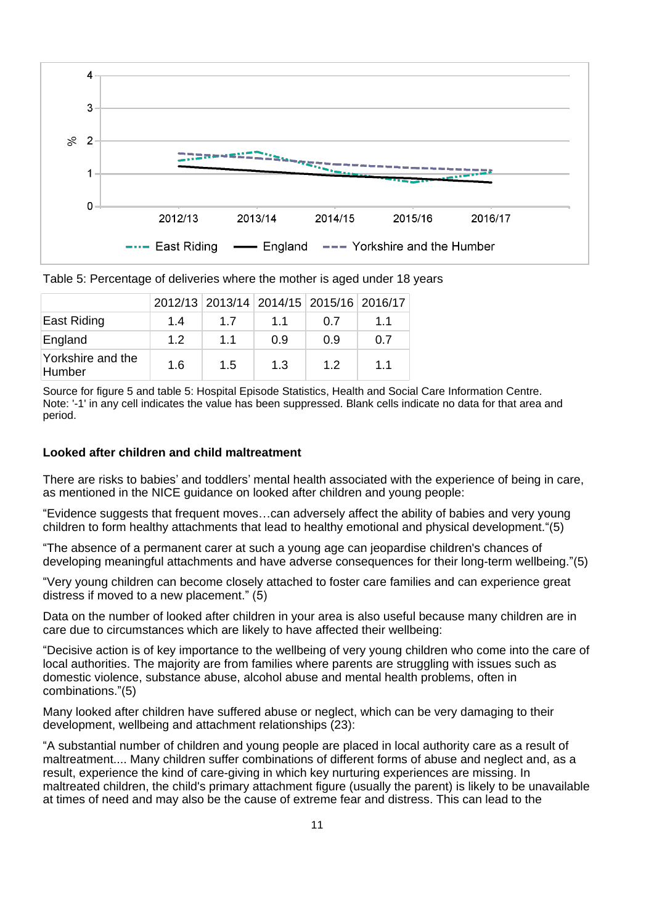![](_page_10_Figure_0.jpeg)

| Table 5: Percentage of deliveries where the mother is aged under 18 years |  |  |
|---------------------------------------------------------------------------|--|--|
|                                                                           |  |  |

|                             |     |     | 2012/13 2013/14 2014/15 2015/16 2016/17 |     |     |
|-----------------------------|-----|-----|-----------------------------------------|-----|-----|
| East Riding                 | 1.4 | 1.7 | 1.1                                     | 0.7 | 1.1 |
| England                     | 1.2 | 1.1 | 0.9                                     | 0.9 | 0.7 |
| Yorkshire and the<br>Humber | 1.6 | 1.5 | 1.3                                     | 1.2 | 1.1 |

Source for figure 5 and table 5: Hospital Episode Statistics, Health and Social Care Information Centre. Note: '-1' in any cell indicates the value has been suppressed. Blank cells indicate no data for that area and period.

#### **Looked after children and child maltreatment**

There are risks to babies' and toddlers' mental health associated with the experience of being in care, as mentioned in the NICE guidance on looked after children and young people:

"Evidence suggests that frequent moves…can adversely affect the ability of babies and very young children to form healthy attachments that lead to healthy emotional and physical development."(5)

"The absence of a permanent carer at such a young age can jeopardise children's chances of developing meaningful attachments and have adverse consequences for their long-term wellbeing."(5)

"Very young children can become closely attached to foster care families and can experience great distress if moved to a new placement." (5)

Data on the number of looked after children in your area is also useful because many children are in care due to circumstances which are likely to have affected their wellbeing:

"Decisive action is of key importance to the wellbeing of very young children who come into the care of local authorities. The majority are from families where parents are struggling with issues such as domestic violence, substance abuse, alcohol abuse and mental health problems, often in combinations."(5)

Many looked after children have suffered abuse or neglect, which can be very damaging to their development, wellbeing and attachment relationships (23):

"A substantial number of children and young people are placed in local authority care as a result of maltreatment.... Many children suffer combinations of different forms of abuse and neglect and, as a result, experience the kind of care-giving in which key nurturing experiences are missing. In maltreated children, the child's primary attachment figure (usually the parent) is likely to be unavailable at times of need and may also be the cause of extreme fear and distress. This can lead to the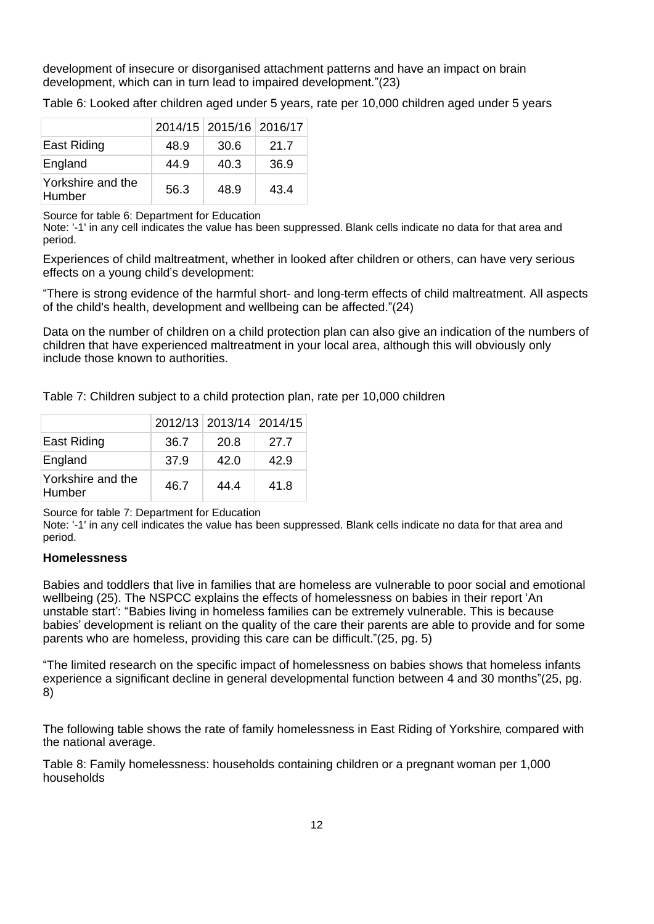development of insecure or disorganised attachment patterns and have an impact on brain development, which can in turn lead to impaired development."(23)

Table 6: Looked after children aged under 5 years, rate per 10,000 children aged under 5 years

|                             |      | 2014/15 2015/16 2016/17 |      |
|-----------------------------|------|-------------------------|------|
| East Riding                 | 48.9 | 30.6                    | 21.7 |
| England                     | 44.9 | 40.3                    | 36.9 |
| Yorkshire and the<br>Humber | 56.3 | 48.9                    | 43.4 |

Source for table 6: Department for Education

Note: '-1' in any cell indicates the value has been suppressed. Blank cells indicate no data for that area and period.

Experiences of child maltreatment, whether in looked after children or others, can have very serious effects on a young child's development:

"There is strong evidence of the harmful short- and long-term effects of child maltreatment. All aspects of the child's health, development and wellbeing can be affected."(24)

Data on the number of children on a child protection plan can also give an indication of the numbers of children that have experienced maltreatment in your local area, although this will obviously only include those known to authorities.

Table 7: Children subject to a child protection plan, rate per 10,000 children

|                             |      | 2012/13 2013/14 2014/15 |      |
|-----------------------------|------|-------------------------|------|
| East Riding                 | 36.7 | 20.8                    | 27.7 |
| England                     | 37.9 | 42.0                    | 42.9 |
| Yorkshire and the<br>Humber | 46.7 | 44.4                    | 41.8 |

Source for table 7: Department for Education

Note: '-1' in any cell indicates the value has been suppressed. Blank cells indicate no data for that area and period.

#### **Homelessness**

Babies and toddlers that live in families that are homeless are vulnerable to poor social and emotional wellbeing (25). The NSPCC explains the effects of homelessness on babies in their report 'An unstable start': "Babies living in homeless families can be extremely vulnerable. This is because babies' development is reliant on the quality of the care their parents are able to provide and for some parents who are homeless, providing this care can be difficult."(25, pg. 5)

"The limited research on the specific impact of homelessness on babies shows that homeless infants experience a significant decline in general developmental function between 4 and 30 months"(25, pg. 8)

The following table shows the rate of family homelessness in East Riding of Yorkshire, compared with the national average.

Table 8: Family homelessness: households containing children or a pregnant woman per 1,000 households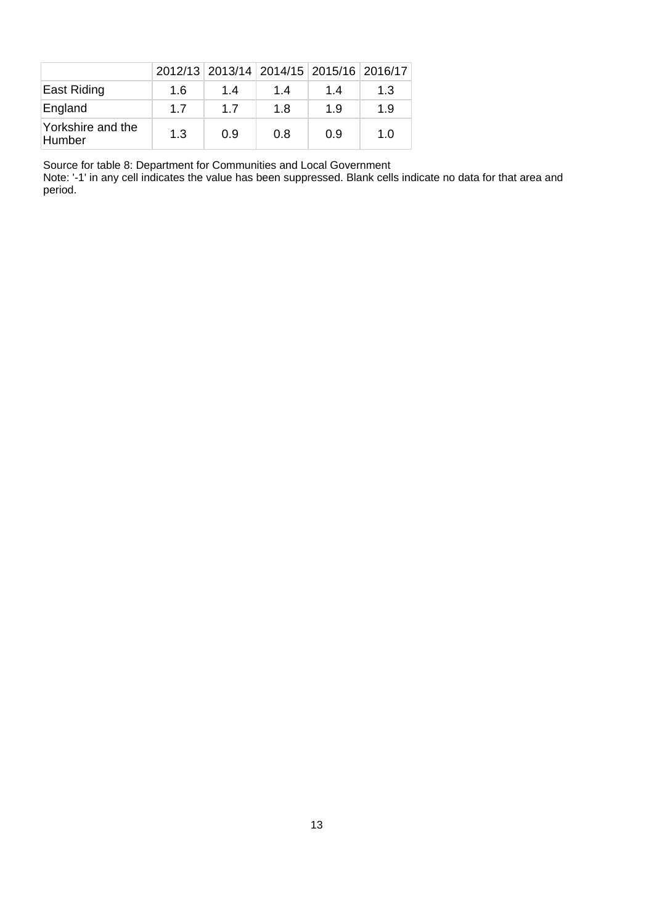|                             |     |     |     | 2012/13 2013/14 2014/15 2015/16 2016/17 |     |
|-----------------------------|-----|-----|-----|-----------------------------------------|-----|
| East Riding                 | 1.6 | 1.4 | 1.4 | 1.4                                     | 1.3 |
| England                     | 1.7 | 17  | 1.8 | 1.9                                     | 1.9 |
| Yorkshire and the<br>Humber | 1.3 | 0.9 | 0.8 | 0.9                                     | 1.0 |

Source for table 8: Department for Communities and Local Government

Note: '-1' in any cell indicates the value has been suppressed. Blank cells indicate no data for that area and period.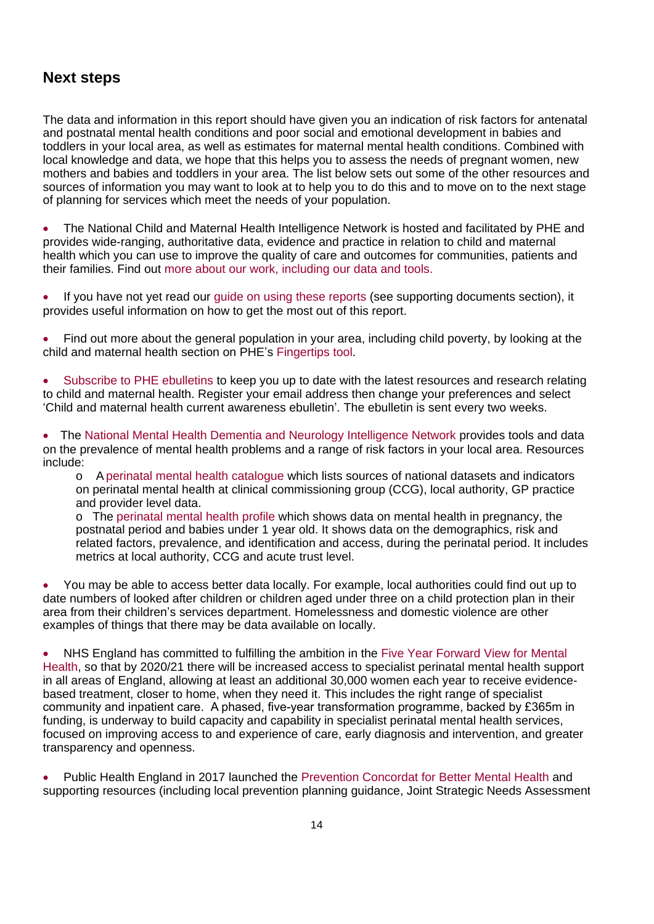# **Next steps**

The data and information in this report should have given you an indication of risk factors for antenatal and postnatal mental health conditions and poor social and emotional development in babies and toddlers in your local area, as well as estimates for maternal mental health conditions. Combined with local knowledge and data, we hope that this helps you to assess the needs of pregnant women, new mothers and babies and toddlers in your area. The list below sets out some of the other resources and sources of information you may want to look at to help you to do this and to move on to the next stage of planning for services which meet the needs of your population.

The National Child and Maternal Health Intelligence Network is hosted and facilitated by PHE and provides wide-ranging, authoritative data, evidence and practice in relation to child and maternal health which you can use to improve the quality of care and outcomes for communities, patients and their families. Find out [more about our work, including our data and tools](http://www.gov.uk/guidance/child-and-maternal-health-data-and-intelligence-a-guide-for-health-professionals).

If you have not yet read our [guide on using these reports \(see supporting documents section\),](https://fingertips.phe.org.uk/profile-group/mental-health/profile/perinatal-mental-health) it provides useful information on how to get the most out of this report.

Find out more about the general population in your area, including child poverty, by looking at the child and maternal health section on PHE's [Fingertips tool](https://fingertips.phe.org.uk/).

[Subscribe to PHE ebulletins](https://public.govdelivery.com/accounts/UKHPA/subscriber/new) to keep you up to date with the latest resources and research relating to child and maternal health. Register your email address then change your preferences and select 'Child and maternal health current awareness ebulletin'. The ebulletin is sent every two weeks.

The [National Mental Health Dementia and Neurology Intelligence Network](https://fingertips.phe.org.uk/profile-group/mental-health) provides tools and data on the prevalence of mental health problems and a range of risk factors in your local area. Resources include:

o A [perinatal mental health catalogue](https://www.gov.uk/government/publications/perinatal-mental-health-national-datasets) which lists sources of national datasets and indicators on perinatal mental health at clinical commissioning group (CCG), local authority, GP practice and provider level data.

o The [perinatal mental health profile](https://fingertips.phe.org.uk/profile-group/mental-health/profile/perinatal-mental-health) which shows data on mental health in pregnancy, the postnatal period and babies under 1 year old. It shows data on the demographics, risk and related factors, prevalence, and identification and access, during the perinatal period. It includes metrics at local authority, CCG and acute trust level.

· You may be able to access better data locally. For example, local authorities could find out up to date numbers of looked after children or children aged under three on a child protection plan in their area from their children's services department. Homelessness and domestic violence are other examples of things that there may be data available on locally.

NHS England has committed to fulfilling the ambition in the Five Year Forward View for Mental [Health,](https://www.england.nhs.uk/mental-health/taskforce/) so that by 2020/21 there will be increased access to specialist perinatal mental health support in all areas of England, allowing at least an additional 30,000 women each year to receive evidencebased treatment, closer to home, when they need it. This includes the right range of specialist community and inpatient care. A phased, five-year transformation programme, backed by £365m in funding, is underway to build capacity and capability in specialist perinatal mental health services, focused on improving access to and experience of care, early diagnosis and intervention, and greater transparency and openness.

Public Health England in 2017 launched the [Prevention Concordat for Better Mental Health](https://www.gov.uk/government/collections/prevention-concordat-for-better-mental-health) and supporting resources (including local prevention planning guidance, Joint Strategic Needs Assessment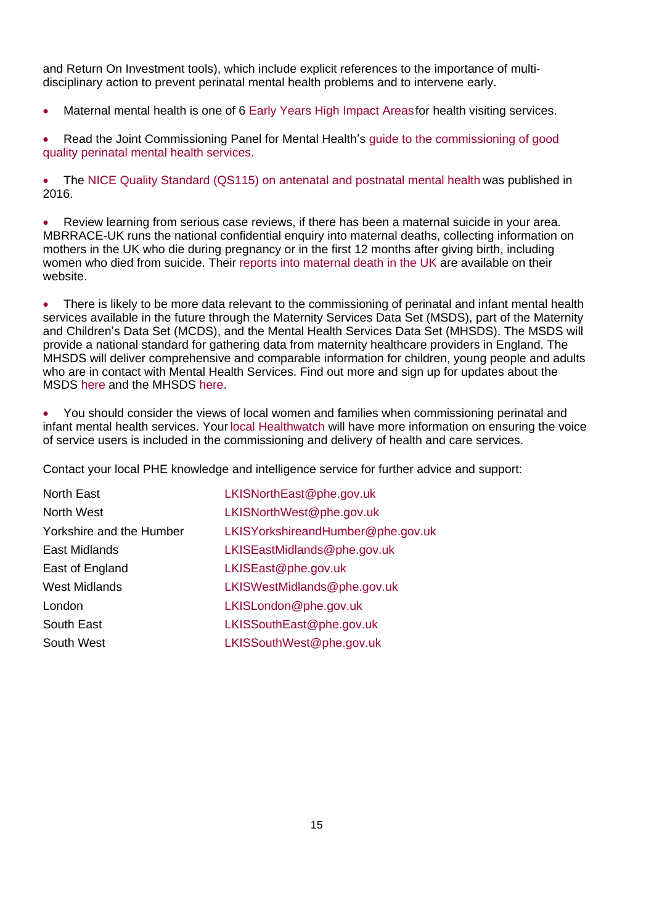and Return On Investment tools), which include explicit references to the importance of multidisciplinary action to prevent perinatal mental health problems and to intervene early.

Maternal mental health is one of 6 [Early Years High Impact Areas](https://www.gov.uk/government/publications/commissioning-of-public-health-services-for-children) for health visiting services.

Read the Joint Commissioning Panel for Mental Health's quide to the commissioning of good [quality perinatal mental health services.](https://www.jcpmh.info/resource/guidance-perinatal-mental-health-services/)

· The [NICE Quality Standard \(QS115\) on antenatal and postnatal mental health](https://www.nice.org.uk/guidance/qs115) was published in 2016.

Review learning from serious case reviews, if there has been a maternal suicide in your area. MBRRACE-UK runs the national confidential enquiry into maternal deaths, collecting information on mothers in the UK who die during pregnancy or in the first 12 months after giving birth, including women who died from suicide. Their [reports into maternal death in the UK](https://www.npeu.ox.ac.uk/mbrrace-uk/reports) are available on their website.

There is likely to be more data relevant to the commissioning of perinatal and infant mental health services available in the future through the Maternity Services Data Set (MSDS), part of the Maternity and Children's Data Set (MCDS), and the Mental Health Services Data Set (MHSDS). The MSDS will provide a national standard for gathering data from maternity healthcare providers in England. The MHSDS will deliver comprehensive and comparable information for children, young people and adults who are in contact with Mental Health Services. Find out more and sign up for updates about the MSDS [here](http://content.digital.nhs.uk/maternityandchildren/maternity) and the MHSDS [here.](http://content.digital.nhs.uk/mhsds)

· You should consider the views of local women and families when commissioning perinatal and infant mental health services. Your [local Healthwatch](http://www.healthwatch.co.uk/find-local-healthwatch) will have more information on ensuring the voice of service users is included in the commissioning and delivery of health and care services.

Contact your local PHE knowledge and intelligence service for further advice and support:

| North East               | LKISNorthEast@phe.gov.uk          |
|--------------------------|-----------------------------------|
| North West               | LKISNorthWest@phe.gov.uk          |
| Yorkshire and the Humber | LKISYorkshireandHumber@phe.gov.uk |
| East Midlands            | LKISEastMidlands@phe.gov.uk       |
| East of England          | LKISEast@phe.gov.uk               |
| <b>West Midlands</b>     | LKISWestMidlands@phe.gov.uk       |
| London                   | LKISLondon@phe.gov.uk             |
| South East               | LKISSouthEast@phe.gov.uk          |
| South West               | LKISSouthWest@phe.gov.uk          |
|                          |                                   |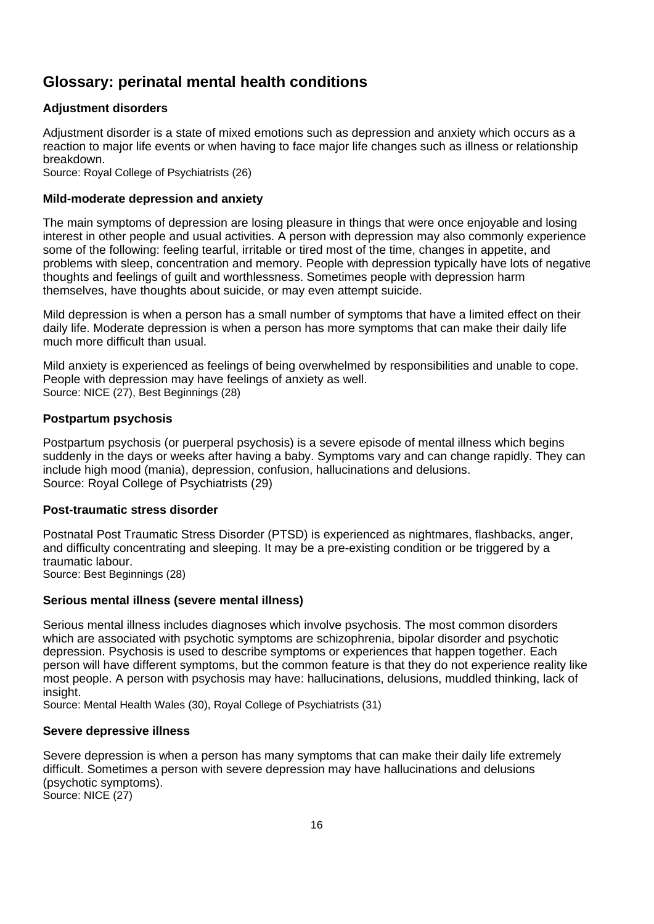# **Glossary: perinatal mental health conditions**

## **Adjustment disorders**

Adjustment disorder is a state of mixed emotions such as depression and anxiety which occurs as a reaction to major life events or when having to face major life changes such as illness or relationship breakdown.

Source: Royal College of Psychiatrists (26)

## **Mild-moderate depression and anxiety**

The main symptoms of depression are losing pleasure in things that were once enjoyable and losing interest in other people and usual activities. A person with depression may also commonly experience some of the following: feeling tearful, irritable or tired most of the time, changes in appetite, and problems with sleep, concentration and memory. People with depression typically have lots of negative thoughts and feelings of guilt and worthlessness. Sometimes people with depression harm themselves, have thoughts about suicide, or may even attempt suicide.

Mild depression is when a person has a small number of symptoms that have a limited effect on their daily life. Moderate depression is when a person has more symptoms that can make their daily life much more difficult than usual.

Mild anxiety is experienced as feelings of being overwhelmed by responsibilities and unable to cope. People with depression may have feelings of anxiety as well. Source: NICE (27), Best Beginnings (28)

## **Postpartum psychosis**

Postpartum psychosis (or puerperal psychosis) is a severe episode of mental illness which begins suddenly in the days or weeks after having a baby. Symptoms vary and can change rapidly. They can include high mood (mania), depression, confusion, hallucinations and delusions. Source: Royal College of Psychiatrists (29)

## **Post-traumatic stress disorder**

Postnatal Post Traumatic Stress Disorder (PTSD) is experienced as nightmares, flashbacks, anger, and difficulty concentrating and sleeping. It may be a pre-existing condition or be triggered by a traumatic labour.

Source: Best Beginnings (28)

## **Serious mental illness (severe mental illness)**

Serious mental illness includes diagnoses which involve psychosis. The most common disorders which are associated with psychotic symptoms are schizophrenia, bipolar disorder and psychotic depression. Psychosis is used to describe symptoms or experiences that happen together. Each person will have different symptoms, but the common feature is that they do not experience reality like most people. A person with psychosis may have: hallucinations, delusions, muddled thinking, lack of insight.

Source: Mental Health Wales (30), Royal College of Psychiatrists (31)

## **Severe depressive illness**

Severe depression is when a person has many symptoms that can make their daily life extremely difficult. Sometimes a person with severe depression may have hallucinations and delusions (psychotic symptoms). Source: NICE (27)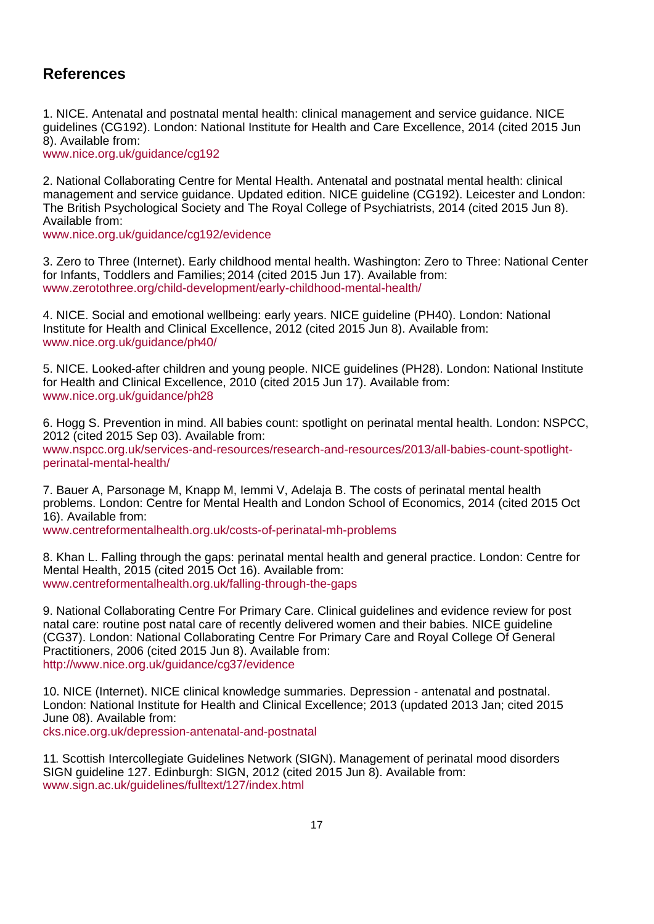# **References**

1. NICE. Antenatal and postnatal mental health: clinical management and service guidance. NICE guidelines (CG192). London: National Institute for Health and Care Excellence, 2014 (cited 2015 Jun 8). Available from:

[www.nice.org.uk/guidance/cg192](http://www.nice.org.uk/guidance/cg192)

2. National Collaborating Centre for Mental Health. Antenatal and postnatal mental health: clinical management and service guidance. Updated edition. NICE guideline (CG192). Leicester and London: The British Psychological Society and The Royal College of Psychiatrists, 2014 (cited 2015 Jun 8). Available from:

[www.nice.org.uk/guidance/cg192/evidence](http://www.nice.org.uk/guidance/cg192/evidence)

3. Zero to Three (Internet). Early childhood mental health. Washington: Zero to Three: National Center for Infants, Toddlers and Families; 2014 (cited 2015 Jun 17). Available from: [www.zerotothree.org/child-development/early-childhood-mental-health/](http://www.zerotothree.org/child-development/early-childhood-mental-health/)

4. NICE. Social and emotional wellbeing: early years. NICE guideline (PH40). London: National Institute for Health and Clinical Excellence, 2012 (cited 2015 Jun 8). Available from: [www.nice.org.uk/guidance/ph40/](http://www.nice.org.uk/guidance/ph40/)

5. NICE. Looked-after children and young people. NICE guidelines (PH28). London: National Institute for Health and Clinical Excellence, 2010 (cited 2015 Jun 17). Available from: [www.nice.org.uk/guidance/ph28](http://www.nice.org.uk/guidance/ph28)

6. Hogg S. Prevention in mind. All babies count: spotlight on perinatal mental health. London: NSPCC, 2012 (cited 2015 Sep 03). Available from: www.nspcc.org.uk/services-and-resources/research-and-resources/2013/all-babies-count-spotlightperinatal-mental-health/

7. Bauer A, Parsonage M, Knapp M, Iemmi V, Adelaja B. The costs of perinatal mental health problems. London: Centre for Mental Health and London School of Economics, 2014 (cited 2015 Oct 16). Available from:

[www.centreformentalhealth.org.uk/costs-of-perinatal-mh-problems](http://www.centreformentalhealth.org.uk/costs-of-perinatal-mh-problems)

8. Khan L. Falling through the gaps: perinatal mental health and general practice. London: Centre for Mental Health, 2015 (cited 2015 Oct 16). Available from: [www.centreformentalhealth.org.uk/falling-through-the-gaps](http://www.centreformentalhealth.org.uk/falling-through-the-gaps)

9. National Collaborating Centre For Primary Care. Clinical guidelines and evidence review for post natal care: routine post natal care of recently delivered women and their babies. NICE guideline (CG37). London: National Collaborating Centre For Primary Care and Royal College Of General Practitioners, 2006 (cited 2015 Jun 8). Available from: <http://www.nice.org.uk/guidance/cg37/evidence>

10. NICE (Internet). NICE clinical knowledge summaries. Depression - antenatal and postnatal. London: National Institute for Health and Clinical Excellence; 2013 (updated 2013 Jan; cited 2015 June 08). Available from:

[cks.nice.org.uk/depression-antenatal-and-postnatal](http://cks.nice.org.uk/depression-antenatal-and-postnatal)

11. Scottish Intercollegiate Guidelines Network (SIGN). Management of perinatal mood disorders SIGN guideline 127. Edinburgh: SIGN, 2012 (cited 2015 Jun 8). Available from: [www.sign.ac.uk/guidelines/fulltext/127/index.html](http://www.sign.ac.uk/guidelines/fulltext/127/index.html)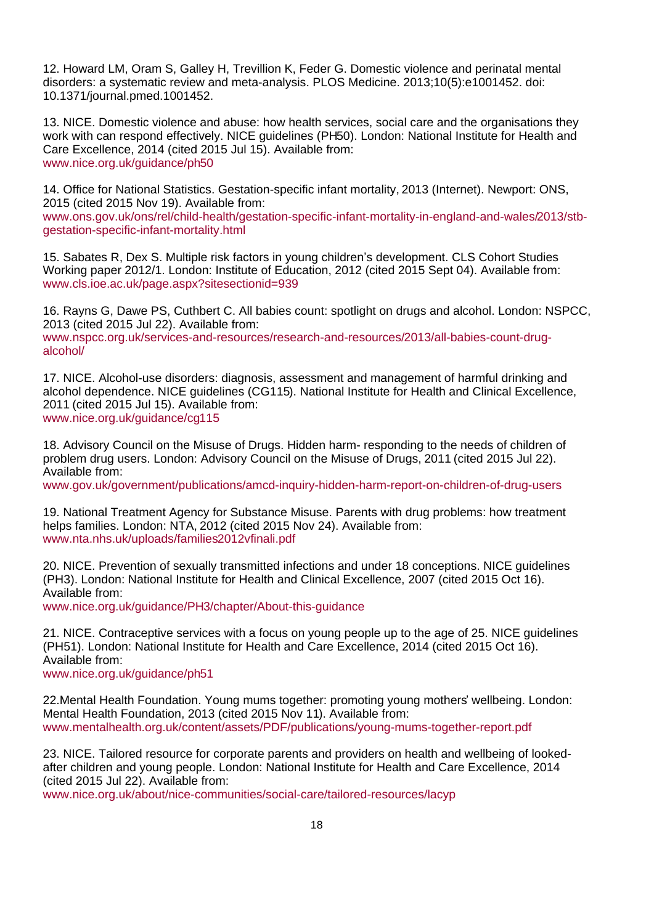12. Howard LM, Oram S, Galley H, Trevillion K, Feder G. Domestic violence and perinatal mental disorders: a systematic review and meta-analysis. PLOS Medicine. 2013;10(5):e1001452. doi: 10.1371/journal.pmed.1001452.

13. NICE. Domestic violence and abuse: how health services, social care and the organisations they work with can respond effectively. NICE guidelines (PH50). London: National Institute for Health and Care Excellence, 2014 (cited 2015 Jul 15). Available from: [www.nice.org.uk/guidance/ph50](http://www.nice.org.uk/guidance/ph50)

14. Office for National Statistics. Gestation-specific infant mortality, 2013 (Internet). Newport: ONS, 2015 (cited 2015 Nov 19). Available from:

[www.ons.gov.uk/ons/rel/child-health/gestation-specific-infant-mortality-in-england-and-wales/2013/stb](http://www.ons.gov.uk/ons/rel/child-health/gestation-specific-infant-mortality-in-england-and-wales/2013/stb-gestation-specific-infant-mortality.html)[gestation-specific-infant-mortality.html](http://www.ons.gov.uk/ons/rel/child-health/gestation-specific-infant-mortality-in-england-and-wales/2013/stb-gestation-specific-infant-mortality.html)

15. Sabates R, Dex S. Multiple risk factors in young children's development. CLS Cohort Studies Working paper 2012/1. London: Institute of Education, 2012 (cited 2015 Sept 04). Available from: [www.cls.ioe.ac.uk/page.aspx?sitesectionid=939](http://www.cls.ioe.ac.uk/page.aspx?sitesectionid=939)

16. Rayns G, Dawe PS, Cuthbert C. All babies count: spotlight on drugs and alcohol. London: NSPCC, 2013 (cited 2015 Jul 22). Available from:

www.nspcc.org.uk/services-and-resources/research-and-resources/2013/all-babies-count-drugalcohol/

17. NICE. Alcohol-use disorders: diagnosis, assessment and management of harmful drinking and alcohol dependence. NICE guidelines (CG115). National Institute for Health and Clinical Excellence, 2011 (cited 2015 Jul 15). Available from: [www.nice.org.uk/guidance/cg115](http://www.nice.org.uk/guidance/cg115)

18. Advisory Council on the Misuse of Drugs. Hidden harm- responding to the needs of children of problem drug users. London: Advisory Council on the Misuse of Drugs, 2011 (cited 2015 Jul 22). Available from:

[www.gov.uk/government/publications/amcd-inquiry-hidden-harm-report-on-children-of-drug-users](http://www.gov.uk/government/publications/amcd-inquiry-hidden-harm-report-on-children-of-drug-users)

19. National Treatment Agency for Substance Misuse. Parents with drug problems: how treatment helps families. London: NTA, 2012 (cited 2015 Nov 24). Available from: [www.nta.nhs.uk/uploads/families2012vfinali.pdf](http://www.nta.nhs.uk/uploads/families2012vfinali.pdf)

20. NICE. Prevention of sexually transmitted infections and under 18 conceptions. NICE guidelines (PH3). London: National Institute for Health and Clinical Excellence, 2007 (cited 2015 Oct 16). Available from:

[www.nice.org.uk/guidance/PH3/chapter/About-this-guidance](http://www.nice.org.uk/guidance/PH3/chapter/About-this-guidance)

21. NICE. Contraceptive services with a focus on young people up to the age of 25. NICE guidelines (PH51). London: National Institute for Health and Care Excellence, 2014 (cited 2015 Oct 16). Available from:

www.nice.org.uk/guidance/ph51

22.Mental Health Foundation. Young mums together: promoting young mothers' wellbeing. London: Mental Health Foundation, 2013 (cited 2015 Nov 11). Available from: [www.mentalhealth.org.uk/content/assets/PDF/publications/young-mums-together-report.pdf](http://www.mentalhealth.org.uk/content/assets/PDF/publications/young-mums-together-report.pdf)

23. NICE. Tailored resource for corporate parents and providers on health and wellbeing of lookedafter children and young people. London: National Institute for Health and Care Excellence, 2014 (cited 2015 Jul 22). Available from:

[www.nice.org.uk/about/nice-communities/social-care/tailored-resources/lacyp](http://www.nice.org.uk/about/nice-communities/social-care/tailored-resources/lacyp)